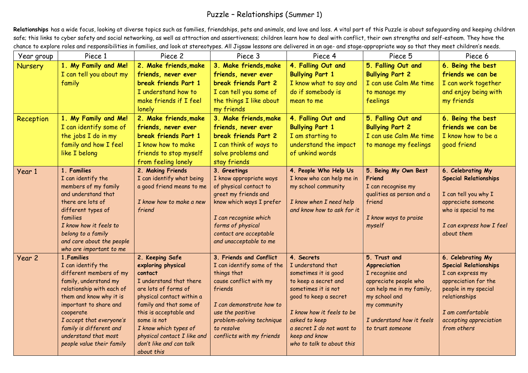## Puzzle – Relationships (Summer 1)

Relationships has a wide focus, looking at diverse topics such as families, friendships, pets and animals, and love and loss. A vital part of this Puzzle is about safeguarding and keeping children safe; this links to cyber safety and social networking, as well as attraction and assertiveness; children learn how to deal with conflict, their own strengths and self-esteem. They have the chance to explore roles and responsibilities in families, and look at stereotypes. All Jigsaw lessons are delivered in an age- and stage-appropriate way so that they meet children's needs.

| Year group | Piece 1                                            | Piece 2                                         | Piece 3                           | Piece 4                                               | Piece 5                                            | Piece 6                                      |
|------------|----------------------------------------------------|-------------------------------------------------|-----------------------------------|-------------------------------------------------------|----------------------------------------------------|----------------------------------------------|
| Nursery    | 1. My Family and Me!                               | 2. Make friends, make                           | 3. Make friends, make             | 4. Falling Out and                                    | 5. Falling Out and                                 | 6. Being the best                            |
|            | I can tell you about my                            | friends, never ever                             | friends, never ever               | <b>Bullying Part 1</b>                                | <b>Bullying Part 2</b>                             | friends we can be                            |
|            | family                                             | break friends Part 1                            | break friends Part 2              | I know what to say and                                | I can use Calm Me time                             | I can work together                          |
|            |                                                    | I understand how to                             | I can tell you some of            | do if somebody is                                     | to manage my                                       | and enjoy being with                         |
|            |                                                    | make friends if I feel                          | the things I like about           | mean to me                                            | feelings                                           | my friends                                   |
|            |                                                    | lonely                                          | my friends                        |                                                       |                                                    |                                              |
| Reception  | 1. My Family and Me!                               | 2. Make friends, make                           | 3. Make friends, make             | 4. Falling Out and                                    | 5. Falling Out and                                 | 6. Being the best                            |
|            | I can identify some of                             | friends, never ever                             | friends, never ever               | <b>Bullying Part 1</b>                                | <b>Bullying Part 2</b>                             | friends we can be                            |
|            | the jobs I do in my                                | break friends Part 1                            | break friends Part 2              | I am starting to                                      | I can use Calm Me time                             | I know how to be a                           |
|            | family and how I feel                              | I know how to make                              | I can think of ways to            | understand the impact                                 | to manage my feelings                              | good friend                                  |
|            | like I belong                                      | friends to stop myself                          | solve problems and                | of unkind words                                       |                                                    |                                              |
|            |                                                    | from feeling lonely                             | stay friends                      |                                                       |                                                    |                                              |
| Year 1     | 1. Families                                        | 2. Making Friends                               | 3. Greetings                      | 4. People Who Help Us                                 | 5. Being My Own Best                               | 6. Celebrating My                            |
|            | I can identify the                                 | I can identify what being                       | I know appropriate ways           | I know who can help me in                             | Friend                                             | <b>Special Relationships</b>                 |
|            | members of my family                               | a good friend means to me                       | of physical contact to            | my school community                                   | I can recognise my                                 |                                              |
|            | and understand that                                |                                                 | greet my friends and              |                                                       | qualities as person and a                          | I can tell you why I                         |
|            | there are lots of<br>different types of            | I know how to make a new<br>friend              | know which ways I prefer          | I know when I need help<br>and know how to ask for it | friend                                             | appreciate someone<br>who is special to me   |
|            | families                                           |                                                 | I can recognise which             |                                                       | I know ways to praise                              |                                              |
|            | I know how it feels to                             |                                                 | forms of physical                 |                                                       | myself                                             | I can express how I feel                     |
|            | belong to a family                                 |                                                 | contact are acceptable            |                                                       |                                                    | about them                                   |
|            | and care about the people                          |                                                 | and unacceptable to me            |                                                       |                                                    |                                              |
|            | who are important to me                            |                                                 |                                   |                                                       |                                                    |                                              |
| Year 2     | 1. Families                                        | 2. Keeping Safe                                 | 3. Friends and Conflict           | 4. Secrets                                            | 5. Trust and                                       | 6. Celebrating My                            |
|            | I can identify the                                 | exploring physical                              | I can identify some of the        | I understand that                                     | <b>Appreciation</b>                                | <b>Special Relationships</b>                 |
|            | different members of my                            | contact                                         | things that                       | sometimes it is good                                  | I recognise and                                    | I can express my                             |
|            | family, understand my<br>relationship with each of | I understand that there<br>are lots of forms of | cause conflict with my<br>friends | to keep a secret and<br>sometimes it is not           | appreciate people who<br>can help me in my family, | appreciation for the<br>people in my special |
|            | them and know why it is                            | physical contact within a                       |                                   | good to keep a secret                                 | my school and                                      | relationships                                |
|            | important to share and                             | family and that some of                         | I can demonstrate how to          |                                                       | my community                                       |                                              |
|            | cooperate                                          | this is acceptable and                          | use the positive                  | I know how it feels to be                             |                                                    | I am comfortable                             |
|            | I accept that everyone's                           | some is not                                     | problem-solving technique         | asked to keep                                         | I understand how it feels                          | accepting appreciation                       |
|            | family is different and                            | I know which types of                           | to resolve                        | a secret I do not want to                             | to trust someone                                   | from others                                  |
|            | understand that most                               | physical contact I like and                     | conflicts with my friends         | keep and know                                         |                                                    |                                              |
|            | people value their family                          | don't like and can talk                         |                                   | who to talk to about this                             |                                                    |                                              |
|            |                                                    | about this                                      |                                   |                                                       |                                                    |                                              |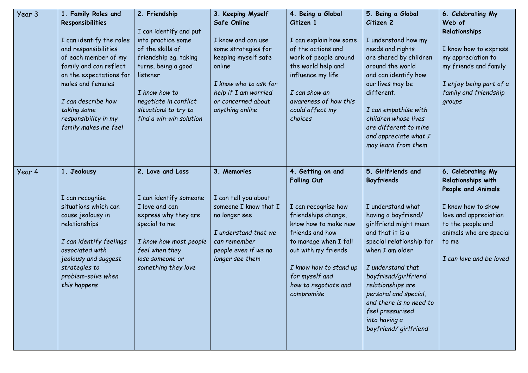| Year 3 | 1. Family Roles and<br>Responsibilities<br>I can identify the roles<br>and responsibilities<br>of each member of my<br>family and can reflect<br>on the expectations for<br>males and females<br>I can describe how<br>taking some<br>responsibility in my<br>family makes me feel | 2. Friendship<br>I can identify and put<br>into practice some<br>of the skills of<br>friendship eg. taking<br>turns, being a good<br>listener<br>I know how to<br>negotiate in conflict<br>situations to try to<br>find a win-win solution | 3. Keeping Myself<br>Safe Online<br>I know and can use<br>some strategies for<br>keeping myself safe<br>online<br>I know who to ask for<br>help if I am worried<br>or concerned about<br>anything online | 4. Being a Global<br>Citizen 1<br>I can explain how some<br>of the actions and<br>work of people around<br>the world help and<br>influence my life<br>I can show an<br>awareness of how this<br>could affect my<br>choices                                         | 5. Being a Global<br>Citizen 2<br>I understand how my<br>needs and rights<br>are shared by children<br>around the world<br>and can identify how<br>our lives may be<br>different.<br>I can empathise with<br>children whose lives<br>are different to mine<br>and appreciate what I<br>may learn from them                                                  | 6. Celebrating My<br>Web of<br>Relationships<br>I know how to express<br>my appreciation to<br>my friends and family<br>I enjoy being part of a<br>family and friendship<br>groups               |
|--------|------------------------------------------------------------------------------------------------------------------------------------------------------------------------------------------------------------------------------------------------------------------------------------|--------------------------------------------------------------------------------------------------------------------------------------------------------------------------------------------------------------------------------------------|----------------------------------------------------------------------------------------------------------------------------------------------------------------------------------------------------------|--------------------------------------------------------------------------------------------------------------------------------------------------------------------------------------------------------------------------------------------------------------------|-------------------------------------------------------------------------------------------------------------------------------------------------------------------------------------------------------------------------------------------------------------------------------------------------------------------------------------------------------------|--------------------------------------------------------------------------------------------------------------------------------------------------------------------------------------------------|
| Year 4 | 1. Jealousy<br>I can recognise<br>situations which can<br>cause jealousy in<br>relationships<br>I can identify feelings<br>associated with<br>jealousy and suggest<br>strategies to<br>problem-solve when<br>this happens                                                          | 2. Love and Loss<br>I can identify someone<br>I love and can<br>express why they are<br>special to me<br>I know how most people<br>feel when they<br>lose someone or<br>something they love                                                | 3. Memories<br>I can tell you about<br>someone I know that I<br>no longer see<br>I understand that we<br>can remember<br>people even if we no<br>longer see them                                         | 4. Getting on and<br><b>Falling Out</b><br>I can recognise how<br>friendships change,<br>know how to make new<br>friends and how<br>to manage when I fall<br>out with my friends<br>I know how to stand up<br>for myself and<br>how to negotiate and<br>compromise | 5. Girlfriends and<br>Boyfriends<br>I understand what<br>having a boyfriend/<br>girlfriend might mean<br>and that it is a<br>special relationship for<br>when I am older<br>I understand that<br>boyfriend/girlfriend<br>relationships are<br>personal and special,<br>and there is no need to<br>feel pressurised<br>into having a<br>boyfriend/girlfriend | 6. Celebrating My<br>Relationships with<br>People and Animals<br>I know how to show<br>love and appreciation<br>to the people and<br>animals who are special<br>to me<br>I can love and be loved |